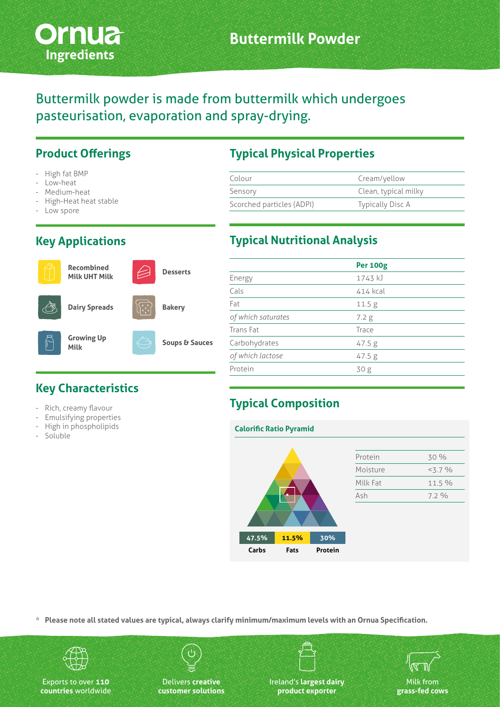

Buttermilk powder is made from buttermilk which undergoes pasteurisation, evaporation and spray-drying.

#### **Product Offerings**

- High fat BMP
- Low-heat
- Medium-heat
- High-Heat heat stable
- Low spore

#### **Key Applications**

## **Recombined**

**Milk UHT Milk**

**Dairy Spreads**

# **Bakery**

**Growing Up Milk**

**Key Characteristics**

Rich, creamy flavour - Emulsifying properties - High in phospholipids

- Soluble



**Desserts**

## **Typical Physical Properties**

| Colour                    | Cream/yellow         |  |  |
|---------------------------|----------------------|--|--|
| Sensory                   | Clean, typical milky |  |  |
| Scorched particles (ADPI) | Typically Disc A     |  |  |
|                           |                      |  |  |

#### **Typical Nutritional Analysis**

|                    | <b>Per 100g</b>   |
|--------------------|-------------------|
| Energy             | 1743 kJ           |
| Cals               | 414 kcal          |
| Fat                | 11.5 <sub>g</sub> |
| of which saturates | 7.2 g             |
| Trans Fat          | Trace             |
| Carbohydrates      | 47.5 g            |
| of which lactose   | 47.5 g            |
| Protein            | 30 <sub>g</sub>   |
|                    |                   |

#### **Typical Composition**

#### **Calorific Ratio Pyramid**

|  |       |       |         | Protein  | 30 %       |
|--|-------|-------|---------|----------|------------|
|  |       |       |         | Moisture | $< 3.7 \%$ |
|  |       |       |         | Milk Fat | 11.5 %     |
|  |       |       |         | Ash      | 7.2%       |
|  |       |       |         |          |            |
|  | 47.5% | 11.5% | 30%     |          |            |
|  | Carbs | Fats  | Protein |          |            |

**\* Please note all stated values are typical, always clarify minimum/maximum levels with an Ornua Specification.**



Exports to over **110 countries** worldwide

Delivers **creative customer solutions**



Ireland's **largest dairy product exporter**